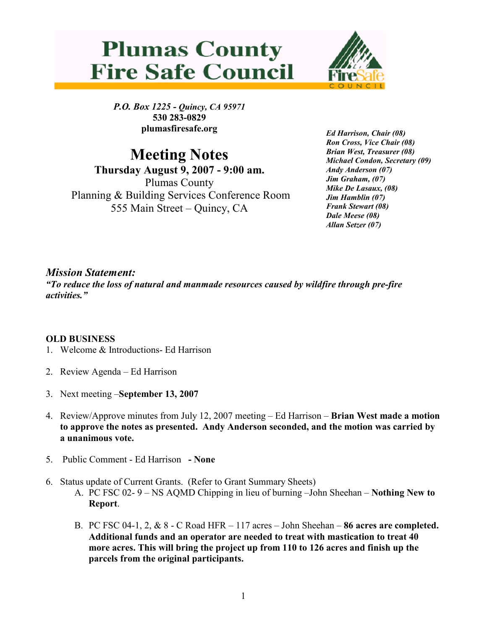



P.O. Box 1225 - Quincy, CA 95971 530 283-0829 plumasfiresafe.org

Meeting Notes Thursday August 9, 2007 - 9:00 am. Plumas County Planning & Building Services Conference Room 555 Main Street – Quincy, CA

Ed Harrison, Chair (08) Ron Cross, Vice Chair (08) Brian West, Treasurer (08) Michael Condon, Secretary (09) Andy Anderson (07) Jim Graham, (07) Mike De Lasaux, (08) Jim Hamblin (07) Frank Stewart (08) Dale Meese (08) Allan Setzer (07)

## Mission Statement:

"To reduce the loss of natural and manmade resources caused by wildfire through pre-fire activities."

## OLD BUSINESS

- 1. Welcome & Introductions- Ed Harrison
- 2. Review Agenda Ed Harrison
- 3. Next meeting –September 13, 2007
- 4. Review/Approve minutes from July 12, 2007 meeting Ed Harrison Brian West made a motion to approve the notes as presented. Andy Anderson seconded, and the motion was carried by a unanimous vote.
- 5. Public Comment Ed Harrison None
- 6. Status update of Current Grants. (Refer to Grant Summary Sheets)
	- A. PC FSC 02-  $9 NS$  AQMD Chipping in lieu of burning  $-John$  Sheehan Nothing New to Report.
	- B. PC FSC 04-1, 2,  $\&$  8 C Road HFR 117 acres John Sheehan 86 acres are completed. Additional funds and an operator are needed to treat with mastication to treat 40 more acres. This will bring the project up from 110 to 126 acres and finish up the parcels from the original participants.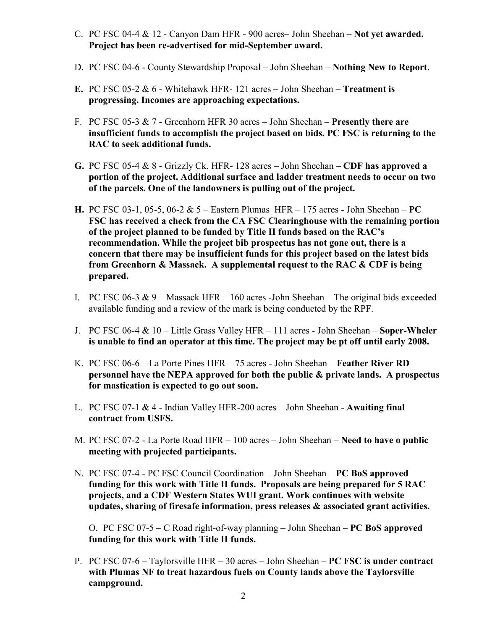- C. PC FSC 04-4 & 12 Canyon Dam HFR 900 acres– John Sheehan Not yet awarded. Project has been re-advertised for mid-September award.
- D. PC FSC 04-6 County Stewardship Proposal John Sheehan Nothing New to Report.
- E. PC FSC 05-2  $& 6$  Whitehawk HFR- 121 acres John Sheehan Treatment is progressing. Incomes are approaching expectations.
- F. PC FSC 05-3  $\& \, 7$  Greenhorn HFR 30 acres John Sheehan **Presently there are** insufficient funds to accomplish the project based on bids. PC FSC is returning to the RAC to seek additional funds.
- G. PC FSC 05-4  $\&$  8 Grizzly Ck. HFR-128 acres John Sheehan CDF has approved a portion of the project. Additional surface and ladder treatment needs to occur on two of the parcels. One of the landowners is pulling out of the project.
- H. PC FSC 03-1, 05-5, 06-2 & 5 Eastern Plumas HFR 175 acres John Sheehan PC FSC has received a check from the CA FSC Clearinghouse with the remaining portion of the project planned to be funded by Title II funds based on the RAC's recommendation. While the project bib prospectus has not gone out, there is a concern that there may be insufficient funds for this project based on the latest bids from Greenhorn & Massack. A supplemental request to the RAC & CDF is being prepared.
- I. PC FSC 06-3  $\&$  9 Massack HFR 160 acres -John Sheehan The original bids exceeded available funding and a review of the mark is being conducted by the RPF.
- J. PC FSC 06-4  $\&$  10 Little Grass Valley HFR 111 acres John Sheehan Soper-Wheler is unable to find an operator at this time. The project may be pt off until early 2008.
- K. PC FSC 06-6 La Porte Pines HFR 75 acres John Sheehan Feather River RD personnel have the NEPA approved for both the public & private lands. A prospectus for mastication is expected to go out soon.
- L. PC FSC 07-1  $&$  4 Indian Valley HFR-200 acres John Sheehan Awaiting final contract from USFS.
- M. PC FSC 07-2 La Porte Road HFR 100 acres John Sheehan Need to have o public meeting with projected participants.
- N. PC FSC 07-4 PC FSC Council Coordination John Sheehan PC BoS approved funding for this work with Title II funds. Proposals are being prepared for 5 RAC projects, and a CDF Western States WUI grant. Work continues with website updates, sharing of firesafe information, press releases & associated grant activities.

O. PC FSC 07-5 – C Road right-of-way planning – John Sheehan – PC BoS approved funding for this work with Title II funds.

P. PC FSC 07-6 – Taylorsville HFR – 30 acres – John Sheehan – PC FSC is under contract with Plumas NF to treat hazardous fuels on County lands above the Taylorsville campground.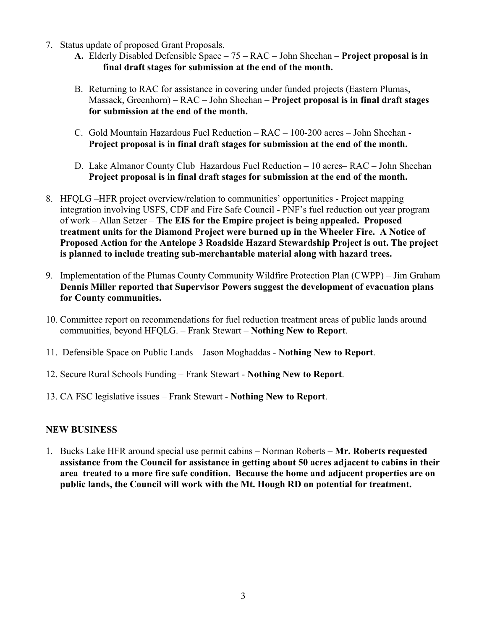- 7. Status update of proposed Grant Proposals.
	- A. Elderly Disabled Defensible Space 75 RAC John Sheehan Project proposal is in final draft stages for submission at the end of the month.
	- B. Returning to RAC for assistance in covering under funded projects (Eastern Plumas, Massack, Greenhorn) – RAC – John Sheehan – Project proposal is in final draft stages for submission at the end of the month.
	- C. Gold Mountain Hazardous Fuel Reduction RAC 100-200 acres John Sheehan Project proposal is in final draft stages for submission at the end of the month.
	- D. Lake Almanor County Club Hazardous Fuel Reduction 10 acres– RAC John Sheehan Project proposal is in final draft stages for submission at the end of the month.
- 8. HFQLG –HFR project overview/relation to communities' opportunities Project mapping integration involving USFS, CDF and Fire Safe Council - PNF's fuel reduction out year program of work – Allan Setzer – The EIS for the Empire project is being appealed. Proposed treatment units for the Diamond Project were burned up in the Wheeler Fire. A Notice of Proposed Action for the Antelope 3 Roadside Hazard Stewardship Project is out. The project is planned to include treating sub-merchantable material along with hazard trees.
- 9. Implementation of the Plumas County Community Wildfire Protection Plan (CWPP) Jim Graham Dennis Miller reported that Supervisor Powers suggest the development of evacuation plans for County communities.
- 10. Committee report on recommendations for fuel reduction treatment areas of public lands around communities, beyond HFQLG. – Frank Stewart – Nothing New to Report.
- 11. Defensible Space on Public Lands Jason Moghaddas Nothing New to Report.
- 12. Secure Rural Schools Funding Frank Stewart Nothing New to Report.
- 13. CA FSC legislative issues Frank Stewart Nothing New to Report.

## NEW BUSINESS

1. Bucks Lake HFR around special use permit cabins – Norman Roberts – Mr. Roberts requested assistance from the Council for assistance in getting about 50 acres adjacent to cabins in their area treated to a more fire safe condition. Because the home and adjacent properties are on public lands, the Council will work with the Mt. Hough RD on potential for treatment.